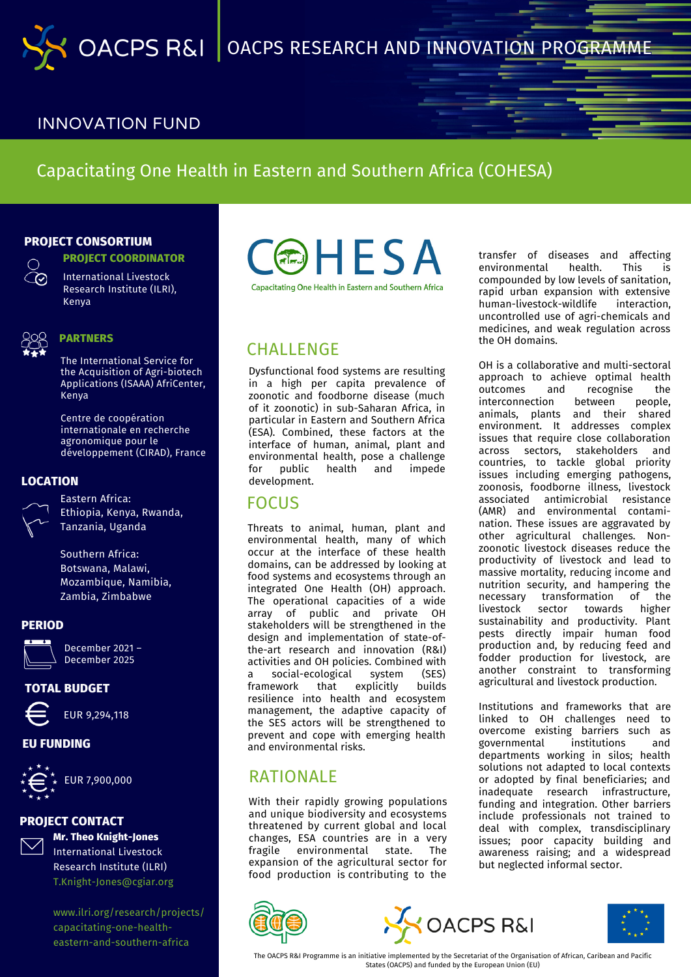## INNOVATION FUND

## Capacitating One Health in Eastern and Southern Africa (COHESA)

### **PROJECT CONSORTIUM**

**PROJECT COORDINATOR**



International Livestock Research Institute (ILRI), Kenya



#### **PARTNERS**

The International Service for the Acquisition of Agri-biotech Applications (ISAAA) AfriCenter, Kenya

Centre de coopération internationale en recherche agronomique pour le développement (CIRAD), France

#### **LOCATION**



Eastern Africa: Ethiopia, Kenya, Rwanda, Tanzania, Uganda

Southern Africa: Botswana, Malawi, Mozambique, Namibia, Zambia, Zimbabwe

#### **PERIOD**



December 2021 – December 2025

### **TOTAL BUDGET**



# EUR 9,294,118

## **EU FUNDING**



EUR 7,900,000

## **PROJECT CONTACT**



**Mr. Theo Knight-Jones** International Livestock Research Institute (ILRI) T.Knight-Jones@cgiar.org

[www.ilri.org/research/projects/](http://www.ilri.org/research/projects/capacitating-one-health-eastern-and-southern-africa) capacitating-one-healtheastern-and-southern-africa



## **CHALLENGE**

Dysfunctional food systems are resulting in a high per capita prevalence of zoonotic and foodborne disease (much of it zoonotic) in sub-Saharan Africa, in particular in Eastern and Southern Africa (ESA). Combined, these factors at the interface of human, animal, plant and environmental health, pose a challenge<br>for public health and impede for public development.

## **FOCUS**

Threats to animal, human, plant and environmental health, many of which occur at the interface of these health domains, can be addressed by looking at food systems and ecosystems through an integrated One Health (OH) approach. The operational capacities of a wide array of public and private OH stakeholders will be strengthened in the design and implementation of state-ofthe-art research and innovation (R&I) activities and OH policies. Combined with a social-ecological system (SES) framework that explicitly builds resilience into health and ecosystem management, the adaptive capacity of the SES actors will be strengthened to prevent and cope with emerging health and environmental risks.

## RATIONAL F

With their rapidly growing populations and unique biodiversity and ecosystems threatened by current global and local changes, ESA countries are in a very fragile environmental state. The expansion of the agricultural sector for food production is contributing to the







The OACPS R&I Programme is an initiative implemented by the Secretariat of the Organisation of African, Caribean and Pacific States (OACPS) and funded by the European Union (EU)

transfer of diseases and affecting environmental health. This is compounded by low levels of sanitation, rapid urban expansion with extensive human-livestock-wildlife interaction, uncontrolled use of agri-chemicals and medicines, and weak regulation across the OH domains.

OH is a collaborative and multi-sectoral approach to achieve optimal health outcomes and recognise the interconnection between people, animals, plants and their shared environment. It addresses complex issues that require close collaboration across sectors, stakeholders and countries, to tackle global priority issues including emerging pathogens, zoonosis, foodborne illness, livestock associated antimicrobial resistance (AMR) and environmental contamination. These issues are aggravated by other agricultural challenges. Nonzoonotic livestock diseases reduce the productivity of livestock and lead to massive mortality, reducing income and nutrition security, and hampering the necessary transformation of the<br>livestock sector towards higher sector towards sustainability and productivity. Plant pests directly impair human food production and, by reducing feed and fodder production for livestock, are another constraint to transforming agricultural and livestock production.

Institutions and frameworks that are linked to OH challenges need to overcome existing barriers such as<br>governmental institutions and governmental departments working in silos; health solutions not adapted to local contexts or adopted by final beneficiaries; and inadequate research infrastructure, funding and integration. Other barriers include professionals not trained to deal with complex, transdisciplinary issues; poor capacity building and awareness raising; and a widespread but neglected informal sector.